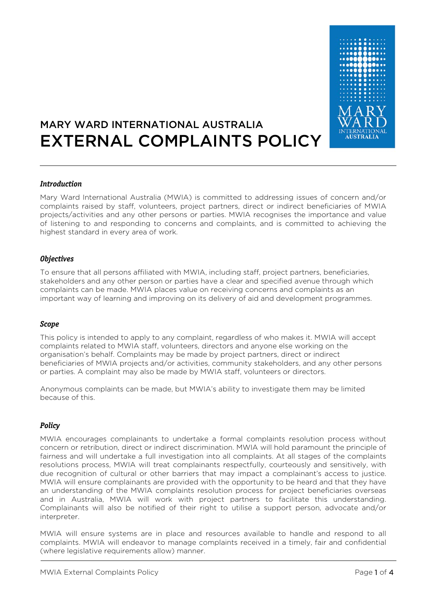

# MARY WARD INTERNATIONAL AUSTRALIA EXTERNAL COMPLAINTS POLICY

#### **Introduction**

Mary Ward International Australia (MWIA) is committed to addressing issues of concern and/or complaints raised by staff, volunteers, project partners, direct or indirect beneficiaries of MWIA projects/activities and any other persons or parties. MWIA recognises the importance and value of listening to and responding to concerns and complaints, and is committed to achieving the highest standard in every area of work.

#### **Objectives**

To ensure that all persons affiliated with MWIA, including staff, project partners, beneficiaries, stakeholders and any other person or parties have a clear and specified avenue through which complaints can be made. MWIA places value on receiving concerns and complaints as an important way of learning and improving on its delivery of aid and development programmes.

#### **Scope**

This policy is intended to apply to any complaint, regardless of who makes it. MWIA will accept complaints related to MWIA staff, volunteers, directors and anyone else working on the organisation's behalf. Complaints may be made by project partners, direct or indirect beneficiaries of MWIA projects and/or activities, community stakeholders, and any other persons or parties. A complaint may also be made by MWIA staff, volunteers or directors.

Anonymous complaints can be made, but MWIA's ability to investigate them may be limited because of this.

### **Policy**

MWIA encourages complainants to undertake a formal complaints resolution process without concern or retribution, direct or indirect discrimination. MWIA will hold paramount the principle of fairness and will undertake a full investigation into all complaints. At all stages of the complaints resolutions process, MWIA will treat complainants respectfully, courteously and sensitively, with due recognition of cultural or other barriers that may impact a complainant's access to justice. MWIA will ensure complainants are provided with the opportunity to be heard and that they have an understanding of the MWIA complaints resolution process for project beneficiaries overseas and in Australia, MWIA will work with project partners to facilitate this understanding. Complainants will also be notified of their right to utilise a support person, advocate and/or interpreter.

MWIA will ensure systems are in place and resources available to handle and respond to all complaints. MWIA will endeavor to manage complaints received in a timely, fair and confidential (where legislative requirements allow) manner.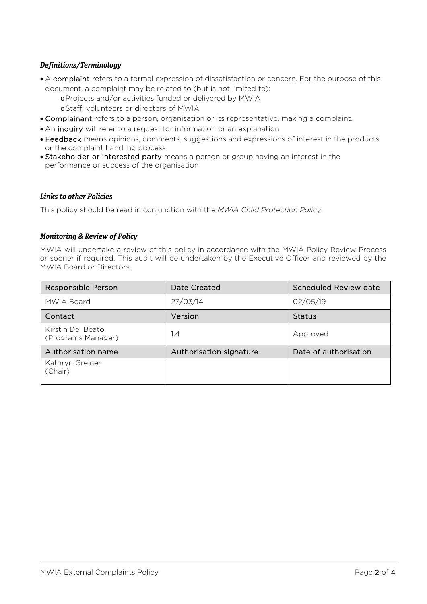## **Definitions/Terminology**

- A complaint refers to a formal expression of dissatisfaction or concern. For the purpose of this document, a complaint may be related to (but is not limited to): oProjects and/or activities funded or delivered by MWIA
	- oStaff, volunteers or directors of MWIA
- Complainant refers to a person, organisation or its representative, making a complaint.
- An inquiry will refer to a request for information or an explanation
- Feedback means opinions, comments, suggestions and expressions of interest in the products or the complaint handling process
- Stakeholder or interested party means a person or group having an interest in the performance or success of the organisation

#### **Links to other Policies**

This policy should be read in conjunction with the *MWIA Child Protection Policy*.

#### **Monitoring & Review of Policy**

MWIA will undertake a review of this policy in accordance with the MWIA Policy Review Process or sooner if required. This audit will be undertaken by the Executive Officer and reviewed by the MWIA Board or Directors.

| Responsible Person                      | Date Created            | Scheduled Review date |
|-----------------------------------------|-------------------------|-----------------------|
| MWIA Board                              | 27/03/14                | 02/05/19              |
| Contact                                 | Version                 | <b>Status</b>         |
| Kirstin Del Beato<br>(Programs Manager) | 1.4                     | Approved              |
| Authorisation name                      | Authorisation signature | Date of authorisation |
| Kathryn Greiner<br>(Chair)              |                         |                       |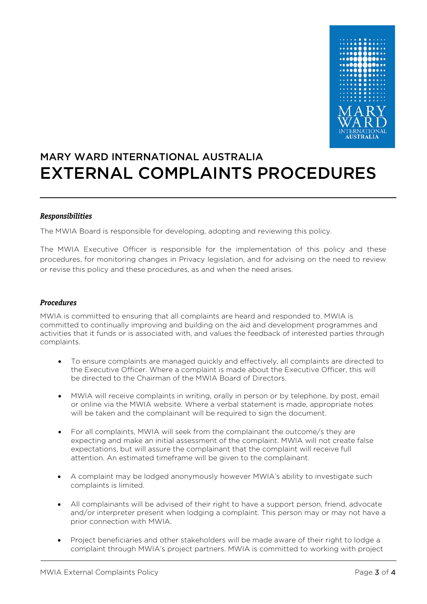

# MARY WARD INTERNATIONAL AUSTRALIA EXTERNAL COMPLAINTS PROCEDURES

### **Responsibilities**

The MWIA Board is responsible for developing, adopting and reviewing this policy.

The MWIA Executive Officer is responsible for the implementation of this policy and these procedures, for monitoring changes in Privacy legislation, and for advising on the need to review or revise this policy and these procedures, as and when the need arises.

#### **Procedures**

MWIA is committed to ensuring that all complaints are heard and responded to. MWIA is committed to continually improving and building on the aid and development programmes and activities that it funds or is associated with, and values the feedback of interested parties through complaints.

- To ensure complaints are managed quickly and effectively, all complaints are directed to the Executive Officer. Where a complaint is made about the Executive Officer, this will be directed to the Chairman of the MWIA Board of Directors.
- MWIA will receive complaints in writing, orally in person or by telephone, by post, email or online via the MWIA website. Where a verbal statement is made, appropriate notes will be taken and the complainant will be required to sign the document.
- For all complaints, MWIA will seek from the complainant the outcome/s they are expecting and make an initial assessment of the complaint. MWIA will not create false expectations, but will assure the complainant that the complaint will receive full attention. An estimated timeframe will be given to the complainant.
- A complaint may be lodged anonymously however MWIA's ability to investigate such complaints is limited.
- All complainants will be advised of their right to have a support person, friend, advocate and/or interpreter present when lodging a complaint. This person may or may not have a prior connection with MWIA.
- Project beneficiaries and other stakeholders will be made aware of their right to lodge a complaint through MWIA's project partners. MWIA is committed to working with project